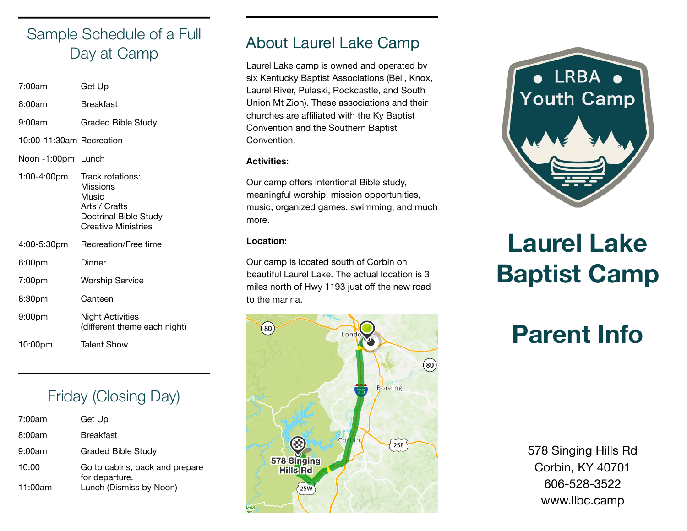## Sample Schedule of a Full Day at Camp

| 7:00am                   | Get Up                                                                                                 |
|--------------------------|--------------------------------------------------------------------------------------------------------|
| 8:00am                   | <b>Breakfast</b>                                                                                       |
| 9:00am                   | <b>Graded Bible Study</b>                                                                              |
| 10:00-11:30am Recreation |                                                                                                        |
| Noon-1:00pm Lunch        |                                                                                                        |
| 1:00-4:00pm              | Track rotations:<br>Missions<br>Music<br>Arts / Crafts<br>Doctrinal Bible Study<br>Creative Ministries |
| 4:00-5:30pm              | Recreation/Free time                                                                                   |
| 6:00pm                   | Dinner                                                                                                 |
| 7:00pm                   | Worship Service                                                                                        |
| 8:30pm                   | Canteen                                                                                                |
| 9:00pm                   | Night Activities<br>(different theme each night)                                                       |
| 10:00pm                  | <b>Talent Show</b>                                                                                     |

### Friday (Closing Day)

| 7:00am  | Get Up                                           |
|---------|--------------------------------------------------|
| 8:00am  | Breakfast                                        |
| 9:00am  | Graded Bible Study                               |
| 10:00   | Go to cabins, pack and prepare<br>for departure. |
| 11:00am | Lunch (Dismiss by Noon)                          |

### About Laurel Lake Camp

Laurel Lake camp is owned and operated by six Kentucky Baptist Associations (Bell, Knox, Laurel River, Pulaski, Rockcastle, and South Union Mt Zion). These associations and their churches are affiliated with the Ky Baptist Convention and the Southern Baptist Convention.

#### **Activities:**

Our camp offers intentional Bible study, meaningful worship, mission opportunities, music, organized games, swimming, and much more.

#### **Location:**

Our camp is located south of Corbin on beautiful Laurel Lake. The actual location is 3 miles north of Hwy 1193 just off the new road to the marina.





# **Laurel Lake Baptist Camp**

# **Parent Info**

578 Singing Hills Rd Corbin, KY 40701 606-528-3522 [www.llbc.camp](http://www.llbc.camp)